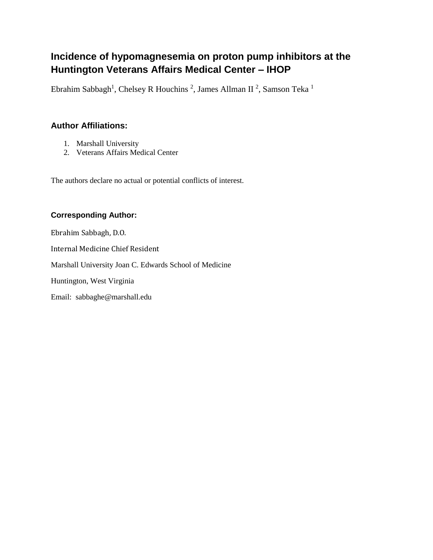# **Incidence of hypomagnesemia on proton pump inhibitors at the Huntington Veterans Affairs Medical Center – IHOP**

Ebrahim Sabbagh<sup>1</sup>, Chelsey R Houchins<sup>2</sup>, James Allman II<sup>2</sup>, Samson Teka<sup>1</sup>

## **Author Affiliations:**

- 1. Marshall University
- 2. Veterans Affairs Medical Center

The authors declare no actual or potential conflicts of interest.

### **Corresponding Author:**

Ebrahim Sabbagh, D.O.

Internal Medicine Chief Resident

Marshall University Joan C. Edwards School of Medicine

Huntington, West Virginia

Email: sabbaghe@marshall.edu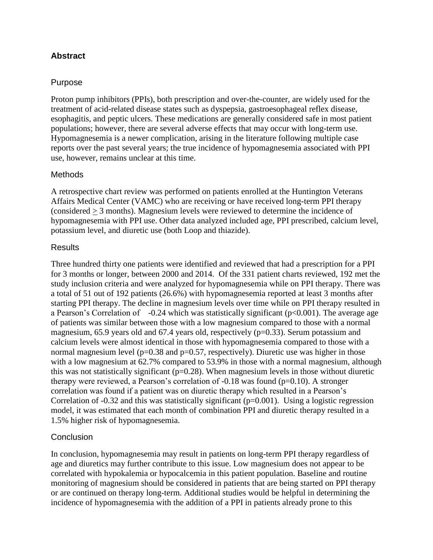### **Abstract**

#### Purpose

Proton pump inhibitors (PPIs), both prescription and over-the-counter, are widely used for the treatment of acid-related disease states such as dyspepsia, gastroesophageal reflex disease, esophagitis, and peptic ulcers. These medications are generally considered safe in most patient populations; however, there are several adverse effects that may occur with long-term use. Hypomagnesemia is a newer complication, arising in the literature following multiple case reports over the past several years; the true incidence of hypomagnesemia associated with PPI use, however, remains unclear at this time.

#### Methods

A retrospective chart review was performed on patients enrolled at the Huntington Veterans Affairs Medical Center (VAMC) who are receiving or have received long-term PPI therapy (considered > 3 months). Magnesium levels were reviewed to determine the incidence of hypomagnesemia with PPI use. Other data analyzed included age, PPI prescribed, calcium level, potassium level, and diuretic use (both Loop and thiazide).

#### **Results**

Three hundred thirty one patients were identified and reviewed that had a prescription for a PPI for 3 months or longer, between 2000 and 2014. Of the 331 patient charts reviewed, 192 met the study inclusion criteria and were analyzed for hypomagnesemia while on PPI therapy. There was a total of 51 out of 192 patients (26.6%) with hypomagnesemia reported at least 3 months after starting PPI therapy. The decline in magnesium levels over time while on PPI therapy resulted in a Pearson's Correlation of  $-0.24$  which was statistically significant ( $p<0.001$ ). The average age of patients was similar between those with a low magnesium compared to those with a normal magnesium, 65.9 years old and 67.4 years old, respectively (p=0.33). Serum potassium and calcium levels were almost identical in those with hypomagnesemia compared to those with a normal magnesium level ( $p=0.38$  and  $p=0.57$ , respectively). Diuretic use was higher in those with a low magnesium at 62.7% compared to 53.9% in those with a normal magnesium, although this was not statistically significant ( $p=0.28$ ). When magnesium levels in those without diuretic therapy were reviewed, a Pearson's correlation of -0.18 was found (p=0.10). A stronger correlation was found if a patient was on diuretic therapy which resulted in a Pearson's Correlation of  $-0.32$  and this was statistically significant ( $p=0.001$ ). Using a logistic regression model, it was estimated that each month of combination PPI and diuretic therapy resulted in a 1.5% higher risk of hypomagnesemia.

#### Conclusion

In conclusion, hypomagnesemia may result in patients on long-term PPI therapy regardless of age and diuretics may further contribute to this issue. Low magnesium does not appear to be correlated with hypokalemia or hypocalcemia in this patient population. Baseline and routine monitoring of magnesium should be considered in patients that are being started on PPI therapy or are continued on therapy long-term. Additional studies would be helpful in determining the incidence of hypomagnesemia with the addition of a PPI in patients already prone to this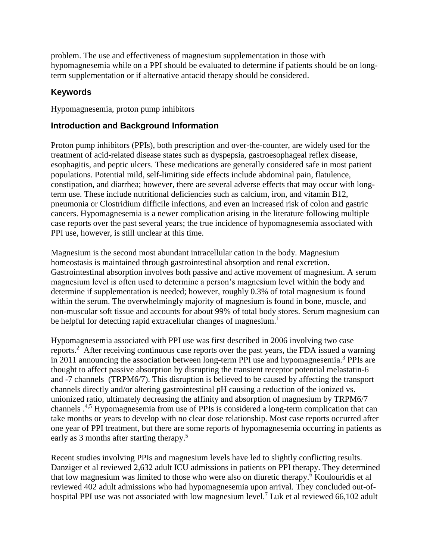problem. The use and effectiveness of magnesium supplementation in those with hypomagnesemia while on a PPI should be evaluated to determine if patients should be on longterm supplementation or if alternative antacid therapy should be considered.

## **Keywords**

Hypomagnesemia, proton pump inhibitors

### **Introduction and Background Information**

Proton pump inhibitors (PPIs), both prescription and over-the-counter, are widely used for the treatment of acid-related disease states such as dyspepsia, gastroesophageal reflex disease, esophagitis, and peptic ulcers. These medications are generally considered safe in most patient populations. Potential mild, self-limiting side effects include abdominal pain, flatulence, constipation, and diarrhea; however, there are several adverse effects that may occur with longterm use. These include nutritional deficiencies such as calcium, iron, and vitamin B12, pneumonia or Clostridium difficile infections, and even an increased risk of colon and gastric cancers. Hypomagnesemia is a newer complication arising in the literature following multiple case reports over the past several years; the true incidence of hypomagnesemia associated with PPI use, however, is still unclear at this time.

Magnesium is the second most abundant intracellular cation in the body. Magnesium homeostasis is maintained through gastrointestinal absorption and renal excretion. Gastrointestinal absorption involves both passive and active movement of magnesium. A serum magnesium level is often used to determine a person's magnesium level within the body and determine if supplementation is needed; however, roughly 0.3% of total magnesium is found within the serum. The overwhelmingly majority of magnesium is found in bone, muscle, and non-muscular soft tissue and accounts for about 99% of total body stores. Serum magnesium can be helpful for detecting rapid extracellular changes of magnesium.<sup>1</sup>

Hypomagnesemia associated with PPI use was first described in 2006 involving two case reports.<sup>2</sup> After receiving continuous case reports over the past years, the FDA issued a warning in 2011 announcing the association between long-term PPI use and hypomagnesemia.<sup>3</sup> PPIs are thought to affect passive absorption by disrupting the transient receptor potential melastatin-6 and -7 channels (TRPM6/7). This disruption is believed to be caused by affecting the transport channels directly and/or altering gastrointestinal pH causing a reduction of the ionized vs. unionized ratio, ultimately decreasing the affinity and absorption of magnesium by TRPM6/7 channels .4,5 Hypomagnesemia from use of PPIs is considered a long-term complication that can take months or years to develop with no clear dose relationship. Most case reports occurred after one year of PPI treatment, but there are some reports of hypomagnesemia occurring in patients as early as 3 months after starting therapy.<sup>5</sup>

Recent studies involving PPIs and magnesium levels have led to slightly conflicting results. Danziger et al reviewed 2,632 adult ICU admissions in patients on PPI therapy. They determined that low magnesium was limited to those who were also on diuretic therapy.<sup>6</sup> Koulouridis et al reviewed 402 adult admissions who had hypomagnesemia upon arrival. They concluded out-ofhospital PPI use was not associated with low magnesium level.<sup>7</sup> Luk et al reviewed 66,102 adult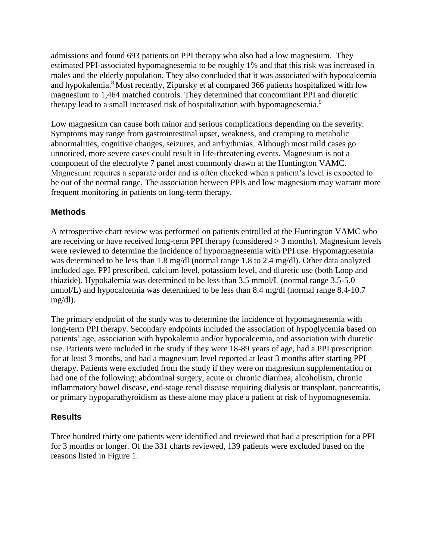admissions and found 693 patients on PPI therapy who also had a low magnesium. They estimated PPI-associated hypomagnesemia to be roughly 1% and that this risk was increased in males and the elderly population. They also concluded that it was associated with hypocalcemia and hypokalemia.<sup>8</sup> Most recently, Zipursky et al compared 366 patients hospitalized with low magnesium to 1,464 matched controls. They determined that concomitant PPI and diuretic therapy lead to a small increased risk of hospitalization with hypomagnesemia.<sup>9</sup>

Low magnesium can cause both minor and serious complications depending on the severity. Symptoms may range from gastrointestinal upset, weakness, and cramping to metabolic abnormalities, cognitive changes, seizures, and arrhythmias. Although most mild cases go unnoticed, more severe cases could result in life-threatening events. Magnesium is not a component of the electrolyte 7 panel most commonly drawn at the Huntington VAMC. Magnesium requires a separate order and is often checked when a patient's level is expected to be out of the normal range. The association between PPIs and low magnesium may warrant more frequent monitoring in patients on long-term therapy.

### **Methods**

A retrospective chart review was performed on patients entrolled at the Huntington VAMC who are receiving or have received long-term PPI therapy (considered  $\geq$  3 months). Magnesium levels were reviewed to determine the incidence of hypomagnesemia with PPI use. Hypomagnesemia was determined to be less than 1.8 mg/dl (normal range 1.8 to 2.4 mg/dl). Other data analyzed included age, PPI prescribed, calcium level, potassium level, and diuretic use (both Loop and thiazide). Hypokalemia was determined to be less than 3.5 mmol/L (normal range 3.5-5.0 mmol/L) and hypocalcemia was determined to be less than 8.4 mg/dl (normal range 8.4-10.7) mg/dl).

The primary endpoint of the study was to determine the incidence of hypomagnesemia with long-term PPI therapy. Secondary endpoints included the association of hypoglycemia based on patients' age, association with hypokalemia and/or hypocalcemia, and association with diuretic use. Patients were included in the study if they were 18-89 years of age, had a PPI prescription for at least 3 months, and had a magnesium level reported at least 3 months after starting PPI therapy. Patients were excluded from the study if they were on magnesium supplementation or had one of the following: abdominal surgery, acute or chronic diarrhea, alcoholism, chronic inflammatory bowel disease, end-stage renal disease requiring dialysis or transplant, pancreatitis, or primary hypoparathyroidism as these alone may place a patient at risk of hypomagnesemia.

### **Results**

Three hundred thirty one patients were identified and reviewed that had a prescription for a PPI for 3 months or longer. Of the 331 charts reviewed, 139 patients were excluded based on the reasons listed in Figure 1.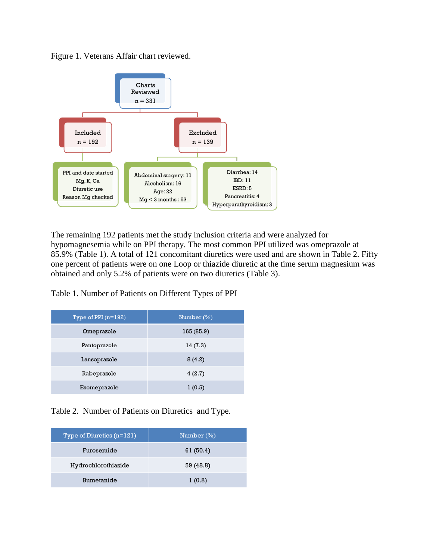Figure 1. Veterans Affair chart reviewed.



The remaining 192 patients met the study inclusion criteria and were analyzed for hypomagnesemia while on PPI therapy. The most common PPI utilized was omeprazole at 85.9% (Table 1). A total of 121 concomitant diuretics were used and are shown in Table 2. Fifty one percent of patients were on one Loop or thiazide diuretic at the time serum magnesium was obtained and only 5.2% of patients were on two diuretics (Table 3).

Table 1. Number of Patients on Different Types of PPI

| Type of PPI $(n=192)$ | Number $(\%)$ |
|-----------------------|---------------|
| Omeprazole            | 165 (85.9)    |
| Pantoprazole          | 14(7.3)       |
| Lansoprazole          | 8(4.2)        |
| Rabeprazole           | 4(2.7)        |
| Esomeprazole          | 1(0.5)        |

Table 2. Number of Patients on Diuretics and Type.

| Type of Diuretics $(n=121)$ | Number $(\%)$ |
|-----------------------------|---------------|
| Furosemide                  | 61 (50.4)     |
| Hydrochlorothiazide         | 59 (48.8)     |
| Bumetanide                  | 1(0.8)        |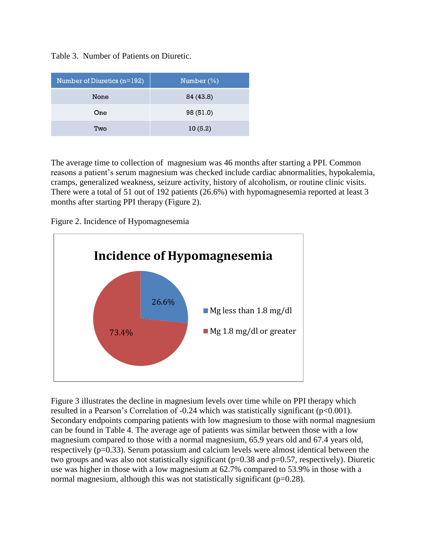| Number of Diuretics (n=192) | Number $(\%)$ |
|-----------------------------|---------------|
| None                        | 84 (43.8)     |
| One                         | 98 (51.0)     |
| Two                         | 10(5.2)       |

The average time to collection of magnesium was 46 months after starting a PPI. Common reasons a patient's serum magnesium was checked include cardiac abnormalities, hypokalemia, cramps, generalized weakness, seizure activity, history of alcoholism, or routine clinic visits. There were a total of 51 out of 192 patients (26.6%) with hypomagnesemia reported at least 3 months after starting PPI therapy (Figure 2).

Figure 2. Incidence of Hypomagnesemia



Figure 3 illustrates the decline in magnesium levels over time while on PPI therapy which resulted in a Pearson's Correlation of -0.24 which was statistically significant (p<0.001). Secondary endpoints comparing patients with low magnesium to those with normal magnesium can be found in Table 4. The average age of patients was similar between those with a low magnesium compared to those with a normal magnesium, 65.9 years old and 67.4 years old, respectively (p=0.33). Serum potassium and calcium levels were almost identical between the two groups and was also not statistically significant ( $p=0.38$  and  $p=0.57$ , respectively). Diuretic use was higher in those with a low magnesium at 62.7% compared to 53.9% in those with a normal magnesium, although this was not statistically significant  $(p=0.28)$ .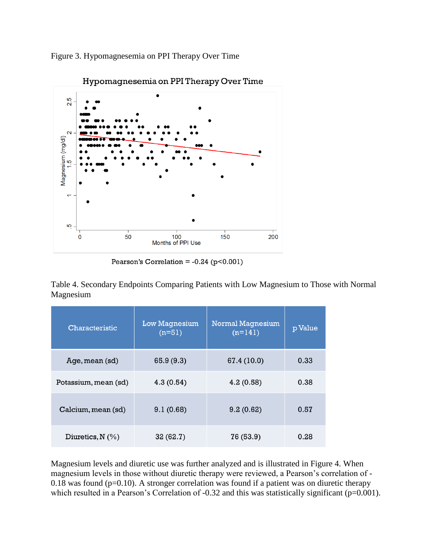Figure 3. Hypomagnesemia on PPI Therapy Over Time



Hypomagnesemia on PPI Therapy Over Time

Pearson's Correlation =  $-0.24$  (p<0.001)

Table 4. Secondary Endpoints Comparing Patients with Low Magnesium to Those with Normal Magnesium

| Characteristic       | <b>Low Magnesium</b><br>$(n=51)$ | <b>Normal Magnesium</b><br>$(n=141)$ | p Value |
|----------------------|----------------------------------|--------------------------------------|---------|
| Age, mean (sd)       | 65.9 (9.3)                       | 67.4 (10.0)                          | 0.33    |
| Potassium, mean (sd) | 4.3(0.54)                        | 4.2(0.58)                            | 0.38    |
| Calcium, mean (sd)   | 9.1(0.68)                        | 9.2(0.62)                            | 0.57    |
| Diuretics, $N$ (%)   | 32(62.7)                         | 76 (53.9)                            | 0.28    |

Magnesium levels and diuretic use was further analyzed and is illustrated in Figure 4. When magnesium levels in those without diuretic therapy were reviewed, a Pearson's correlation of - 0.18 was found ( $p=0.10$ ). A stronger correlation was found if a patient was on diuretic therapy which resulted in a Pearson's Correlation of -0.32 and this was statistically significant (p=0.001).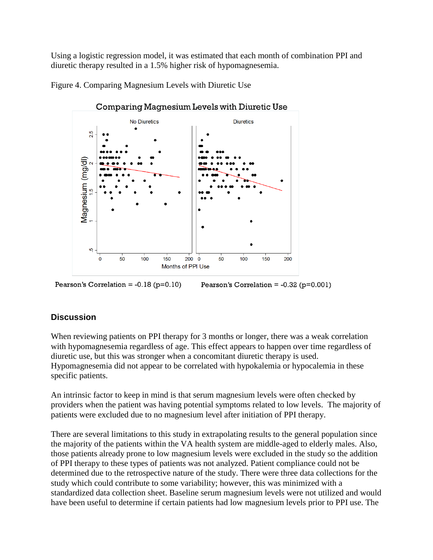Using a logistic regression model, it was estimated that each month of combination PPI and diuretic therapy resulted in a 1.5% higher risk of hypomagnesemia.

Figure 4. Comparing Magnesium Levels with Diuretic Use



Comparing Magnesium Levels with Diuretic Use

Pearson's Correlation =  $-0.18$  ( $p=0.10$ ) Pearson's Correlation =  $-0.32$  ( $p=0.001$ )

### **Discussion**

When reviewing patients on PPI therapy for 3 months or longer, there was a weak correlation with hypomagnesemia regardless of age. This effect appears to happen over time regardless of diuretic use, but this was stronger when a concomitant diuretic therapy is used. Hypomagnesemia did not appear to be correlated with hypokalemia or hypocalemia in these specific patients.

An intrinsic factor to keep in mind is that serum magnesium levels were often checked by providers when the patient was having potential symptoms related to low levels. The majority of patients were excluded due to no magnesium level after initiation of PPI therapy.

There are several limitations to this study in extrapolating results to the general population since the majority of the patients within the VA health system are middle-aged to elderly males. Also, those patients already prone to low magnesium levels were excluded in the study so the addition of PPI therapy to these types of patients was not analyzed. Patient compliance could not be determined due to the retrospective nature of the study. There were three data collections for the study which could contribute to some variability; however, this was minimized with a standardized data collection sheet. Baseline serum magnesium levels were not utilized and would have been useful to determine if certain patients had low magnesium levels prior to PPI use. The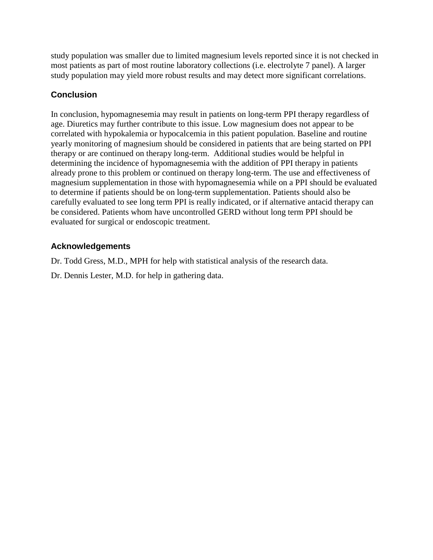study population was smaller due to limited magnesium levels reported since it is not checked in most patients as part of most routine laboratory collections (i.e. electrolyte 7 panel). A larger study population may yield more robust results and may detect more significant correlations.

## **Conclusion**

In conclusion, hypomagnesemia may result in patients on long-term PPI therapy regardless of age. Diuretics may further contribute to this issue. Low magnesium does not appear to be correlated with hypokalemia or hypocalcemia in this patient population. Baseline and routine yearly monitoring of magnesium should be considered in patients that are being started on PPI therapy or are continued on therapy long-term. Additional studies would be helpful in determining the incidence of hypomagnesemia with the addition of PPI therapy in patients already prone to this problem or continued on therapy long-term. The use and effectiveness of magnesium supplementation in those with hypomagnesemia while on a PPI should be evaluated to determine if patients should be on long-term supplementation. Patients should also be carefully evaluated to see long term PPI is really indicated, or if alternative antacid therapy can be considered. Patients whom have uncontrolled GERD without long term PPI should be evaluated for surgical or endoscopic treatment.

### **Acknowledgements**

Dr. Todd Gress, M.D., MPH for help with statistical analysis of the research data.

Dr. Dennis Lester, M.D. for help in gathering data.